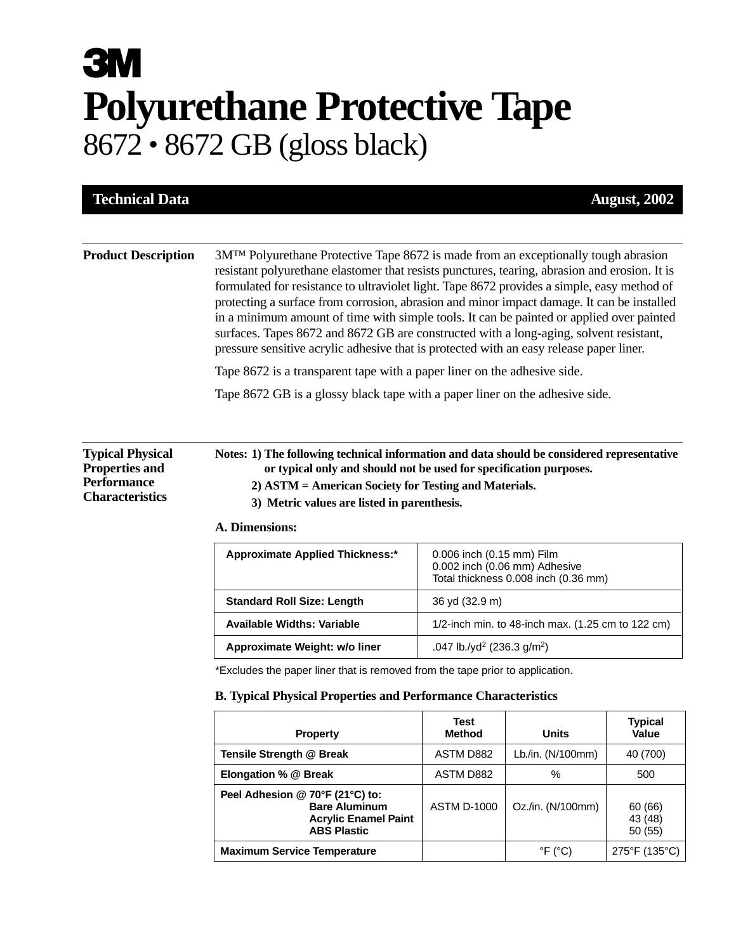## **3M Polyurethane Protective Tape** 8672 • 8672 GB (gloss black)

| 3M <sup>TM</sup> Polyurethane Protective Tape 8672 is made from an exceptionally tough abrasion<br>resistant polyurethane elastomer that resists punctures, tearing, abrasion and erosion. It is<br>formulated for resistance to ultraviolet light. Tape 8672 provides a simple, easy method of<br>protecting a surface from corrosion, abrasion and minor impact damage. It can be installed<br>in a minimum amount of time with simple tools. It can be painted or applied over painted<br>surfaces. Tapes 8672 and 8672 GB are constructed with a long-aging, solvent resistant,<br>pressure sensitive acrylic adhesive that is protected with an easy release paper liner.<br>Tape 8672 is a transparent tape with a paper liner on the adhesive side.<br>Tape 8672 GB is a glossy black tape with a paper liner on the adhesive side.<br>Notes: 1) The following technical information and data should be considered representative<br>or typical only and should not be used for specification purposes.<br>2) ASTM = American Society for Testing and Materials.<br>3) Metric values are listed in parenthesis.<br>A. Dimensions:<br><b>Approximate Applied Thickness:*</b><br>0.006 inch (0.15 mm) Film<br>0.002 inch (0.06 mm) Adhesive<br>Total thickness 0.008 inch (0.36 mm)<br><b>Standard Roll Size: Length</b><br>36 yd (32.9 m)<br><b>Available Widths: Variable</b><br>1/2-inch min. to 48-inch max. (1.25 cm to 122 cm)<br>.047 lb./yd <sup>2</sup> (236.3 g/m <sup>2</sup> )<br>Approximate Weight: w/o liner<br>*Excludes the paper liner that is removed from the tape prior to application.<br><b>B. Typical Physical Properties and Performance Characteristics</b><br>Test<br><b>Typical</b><br><b>Property</b><br><b>Units</b><br><b>Method</b><br>Value<br>Tensile Strength @ Break<br>Lb./in. (N/100mm)<br>ASTM D882<br>40 (700)<br>Elongation % @ Break<br>ASTM D882<br>$\%$<br>500<br>Peel Adhesion @ 70°F (21°C) to:<br>Oz./in. (N/100mm)<br><b>Bare Aluminum</b><br><b>ASTM D-1000</b><br>60 (66)<br><b>Acrylic Enamel Paint</b><br>43 (48)<br><b>ABS Plastic</b><br>50 (55)<br>$\degree$ F ( $\degree$ C)<br><b>Maximum Service Temperature</b><br>275°F (135°C) | <b>Technical Data</b>                                                                            |  |  |  | <b>August, 2002</b> |  |
|--------------------------------------------------------------------------------------------------------------------------------------------------------------------------------------------------------------------------------------------------------------------------------------------------------------------------------------------------------------------------------------------------------------------------------------------------------------------------------------------------------------------------------------------------------------------------------------------------------------------------------------------------------------------------------------------------------------------------------------------------------------------------------------------------------------------------------------------------------------------------------------------------------------------------------------------------------------------------------------------------------------------------------------------------------------------------------------------------------------------------------------------------------------------------------------------------------------------------------------------------------------------------------------------------------------------------------------------------------------------------------------------------------------------------------------------------------------------------------------------------------------------------------------------------------------------------------------------------------------------------------------------------------------------------------------------------------------------------------------------------------------------------------------------------------------------------------------------------------------------------------------------------------------------------------------------------------------------------------------------------------------------------------------------------------------------------------------------------------------------------------------------------------------------------------------------------|--------------------------------------------------------------------------------------------------|--|--|--|---------------------|--|
|                                                                                                                                                                                                                                                                                                                                                                                                                                                                                                                                                                                                                                                                                                                                                                                                                                                                                                                                                                                                                                                                                                                                                                                                                                                                                                                                                                                                                                                                                                                                                                                                                                                                                                                                                                                                                                                                                                                                                                                                                                                                                                                                                                                                  |                                                                                                  |  |  |  |                     |  |
|                                                                                                                                                                                                                                                                                                                                                                                                                                                                                                                                                                                                                                                                                                                                                                                                                                                                                                                                                                                                                                                                                                                                                                                                                                                                                                                                                                                                                                                                                                                                                                                                                                                                                                                                                                                                                                                                                                                                                                                                                                                                                                                                                                                                  | <b>Product Description</b>                                                                       |  |  |  |                     |  |
|                                                                                                                                                                                                                                                                                                                                                                                                                                                                                                                                                                                                                                                                                                                                                                                                                                                                                                                                                                                                                                                                                                                                                                                                                                                                                                                                                                                                                                                                                                                                                                                                                                                                                                                                                                                                                                                                                                                                                                                                                                                                                                                                                                                                  |                                                                                                  |  |  |  |                     |  |
|                                                                                                                                                                                                                                                                                                                                                                                                                                                                                                                                                                                                                                                                                                                                                                                                                                                                                                                                                                                                                                                                                                                                                                                                                                                                                                                                                                                                                                                                                                                                                                                                                                                                                                                                                                                                                                                                                                                                                                                                                                                                                                                                                                                                  |                                                                                                  |  |  |  |                     |  |
|                                                                                                                                                                                                                                                                                                                                                                                                                                                                                                                                                                                                                                                                                                                                                                                                                                                                                                                                                                                                                                                                                                                                                                                                                                                                                                                                                                                                                                                                                                                                                                                                                                                                                                                                                                                                                                                                                                                                                                                                                                                                                                                                                                                                  |                                                                                                  |  |  |  |                     |  |
|                                                                                                                                                                                                                                                                                                                                                                                                                                                                                                                                                                                                                                                                                                                                                                                                                                                                                                                                                                                                                                                                                                                                                                                                                                                                                                                                                                                                                                                                                                                                                                                                                                                                                                                                                                                                                                                                                                                                                                                                                                                                                                                                                                                                  | <b>Typical Physical</b><br><b>Properties and</b><br><b>Performance</b><br><b>Characteristics</b> |  |  |  |                     |  |
|                                                                                                                                                                                                                                                                                                                                                                                                                                                                                                                                                                                                                                                                                                                                                                                                                                                                                                                                                                                                                                                                                                                                                                                                                                                                                                                                                                                                                                                                                                                                                                                                                                                                                                                                                                                                                                                                                                                                                                                                                                                                                                                                                                                                  |                                                                                                  |  |  |  |                     |  |
|                                                                                                                                                                                                                                                                                                                                                                                                                                                                                                                                                                                                                                                                                                                                                                                                                                                                                                                                                                                                                                                                                                                                                                                                                                                                                                                                                                                                                                                                                                                                                                                                                                                                                                                                                                                                                                                                                                                                                                                                                                                                                                                                                                                                  |                                                                                                  |  |  |  |                     |  |
|                                                                                                                                                                                                                                                                                                                                                                                                                                                                                                                                                                                                                                                                                                                                                                                                                                                                                                                                                                                                                                                                                                                                                                                                                                                                                                                                                                                                                                                                                                                                                                                                                                                                                                                                                                                                                                                                                                                                                                                                                                                                                                                                                                                                  |                                                                                                  |  |  |  |                     |  |
|                                                                                                                                                                                                                                                                                                                                                                                                                                                                                                                                                                                                                                                                                                                                                                                                                                                                                                                                                                                                                                                                                                                                                                                                                                                                                                                                                                                                                                                                                                                                                                                                                                                                                                                                                                                                                                                                                                                                                                                                                                                                                                                                                                                                  |                                                                                                  |  |  |  |                     |  |
|                                                                                                                                                                                                                                                                                                                                                                                                                                                                                                                                                                                                                                                                                                                                                                                                                                                                                                                                                                                                                                                                                                                                                                                                                                                                                                                                                                                                                                                                                                                                                                                                                                                                                                                                                                                                                                                                                                                                                                                                                                                                                                                                                                                                  |                                                                                                  |  |  |  |                     |  |
|                                                                                                                                                                                                                                                                                                                                                                                                                                                                                                                                                                                                                                                                                                                                                                                                                                                                                                                                                                                                                                                                                                                                                                                                                                                                                                                                                                                                                                                                                                                                                                                                                                                                                                                                                                                                                                                                                                                                                                                                                                                                                                                                                                                                  |                                                                                                  |  |  |  |                     |  |
|                                                                                                                                                                                                                                                                                                                                                                                                                                                                                                                                                                                                                                                                                                                                                                                                                                                                                                                                                                                                                                                                                                                                                                                                                                                                                                                                                                                                                                                                                                                                                                                                                                                                                                                                                                                                                                                                                                                                                                                                                                                                                                                                                                                                  |                                                                                                  |  |  |  |                     |  |
|                                                                                                                                                                                                                                                                                                                                                                                                                                                                                                                                                                                                                                                                                                                                                                                                                                                                                                                                                                                                                                                                                                                                                                                                                                                                                                                                                                                                                                                                                                                                                                                                                                                                                                                                                                                                                                                                                                                                                                                                                                                                                                                                                                                                  |                                                                                                  |  |  |  |                     |  |
|                                                                                                                                                                                                                                                                                                                                                                                                                                                                                                                                                                                                                                                                                                                                                                                                                                                                                                                                                                                                                                                                                                                                                                                                                                                                                                                                                                                                                                                                                                                                                                                                                                                                                                                                                                                                                                                                                                                                                                                                                                                                                                                                                                                                  |                                                                                                  |  |  |  |                     |  |
|                                                                                                                                                                                                                                                                                                                                                                                                                                                                                                                                                                                                                                                                                                                                                                                                                                                                                                                                                                                                                                                                                                                                                                                                                                                                                                                                                                                                                                                                                                                                                                                                                                                                                                                                                                                                                                                                                                                                                                                                                                                                                                                                                                                                  |                                                                                                  |  |  |  |                     |  |
|                                                                                                                                                                                                                                                                                                                                                                                                                                                                                                                                                                                                                                                                                                                                                                                                                                                                                                                                                                                                                                                                                                                                                                                                                                                                                                                                                                                                                                                                                                                                                                                                                                                                                                                                                                                                                                                                                                                                                                                                                                                                                                                                                                                                  |                                                                                                  |  |  |  |                     |  |
|                                                                                                                                                                                                                                                                                                                                                                                                                                                                                                                                                                                                                                                                                                                                                                                                                                                                                                                                                                                                                                                                                                                                                                                                                                                                                                                                                                                                                                                                                                                                                                                                                                                                                                                                                                                                                                                                                                                                                                                                                                                                                                                                                                                                  |                                                                                                  |  |  |  |                     |  |